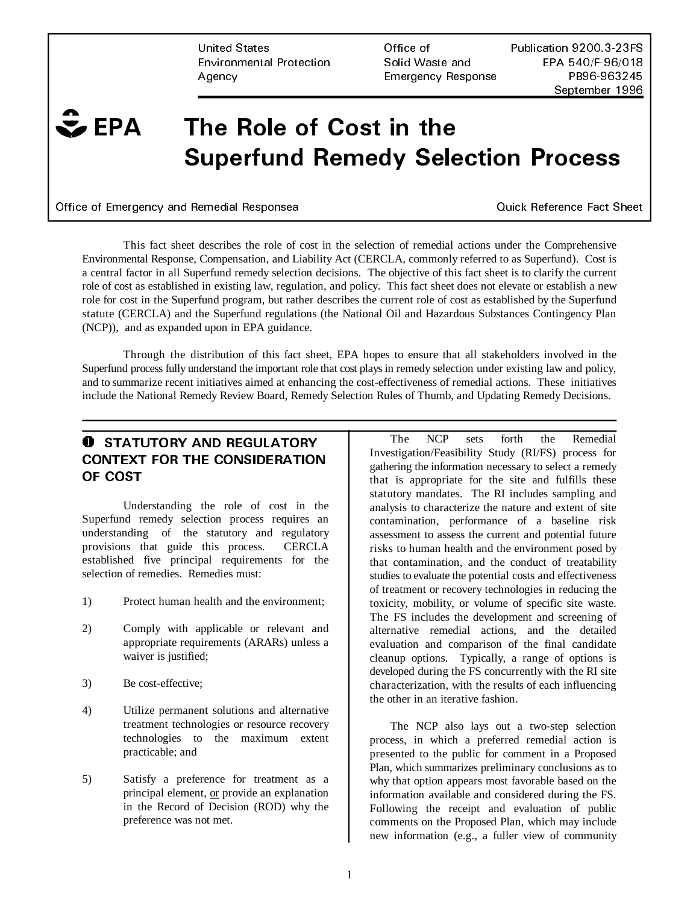United States **And America** Office of **Pu** Environmental Protection Solid Waste and EPA 540/F-96/018 Agency **Agency Agency Agency Agency Agency PB96-963245** 

Publication 9200.3-23FS September 1996

# $\hat{\mathbf{z}}$  EPA A The Role of Cost in the **Superfund Remedy Selection Process**

Office of Emergency and Remedial Responsea

Quick Reference Fact Sheet

This fact sheet describes the role of cost in the selection of remedial actions under the Comprehensive Environmental Response, Compensation, and Liability Act (CERCLA, commonly referred to as Superfund). Cost is a central factor in all Superfund remedy selection decisions. The objective of this fact sheet is to clarify the current role of cost as established in existing law, regulation, and policy. This fact sheet does not elevate or establish a new role for cost in the Superfund program, but rather describes the current role of cost as established by the Superfund statute (CERCLA) and the Superfund regulations (the National Oil and Hazardous Substances Contingency Plan (NCP)), and as expanded upon in EPA guidance.

Through the distribution of this fact sheet, EPA hopes to ensure that all stakeholders involved in the Superfund process fully understand the important role that cost plays in remedy selection under existing law and policy, and to summarize recent initiatives aimed at enhancing the cost-effectiveness of remedial actions. These initiatives include the National Remedy Review Board, Remedy Selection Rules of Thumb, and Updating Remedy Decisions.

# **O** STATUTORY AND REGULATORY CONTEXT FOR THE CONSIDERATION OF COST

Understanding the role of cost in the Superfund remedy selection process requires an understanding of the statutory and regulatory provisions that guide this process. CERCLA established five principal requirements for the selection of remedies. Remedies must:

- 1) Protect human health and the environment;
- 2) Comply with applicable or relevant and appropriate requirements (ARARs) unless a waiver is justified;
- 3) Be cost-effective;
- 4) Utilize permanent solutions and alternative treatment technologies or resource recovery technologies to the maximum extent practicable; and
- 5) Satisfy a preference for treatment as a principal element, or provide an explanation in the Record of Decision (ROD) why the preference was not met.

The NCP sets forth the Remedial Investigation/Feasibility Study (RI/FS) process for gathering the information necessary to select a remedy that is appropriate for the site and fulfills these statutory mandates. The RI includes sampling and analysis to characterize the nature and extent of site contamination, performance of a baseline risk assessment to assess the current and potential future risks to human health and the environment posed by that contamination, and the conduct of treatability studies to evaluate the potential costs and effectiveness of treatment or recovery technologies in reducing the toxicity, mobility, or volume of specific site waste. The FS includes the development and screening of alternative remedial actions, and the detailed evaluation and comparison of the final candidate cleanup options. Typically, a range of options is developed during the FS concurrently with the RI site characterization, with the results of each influencing the other in an iterative fashion.

The NCP also lays out a two-step selection process, in which a preferred remedial action is presented to the public for comment in a Proposed Plan, which summarizes preliminary conclusions as to why that option appears most favorable based on the information available and considered during the FS. Following the receipt and evaluation of public comments on the Proposed Plan, which may include new information (e.g., a fuller view of community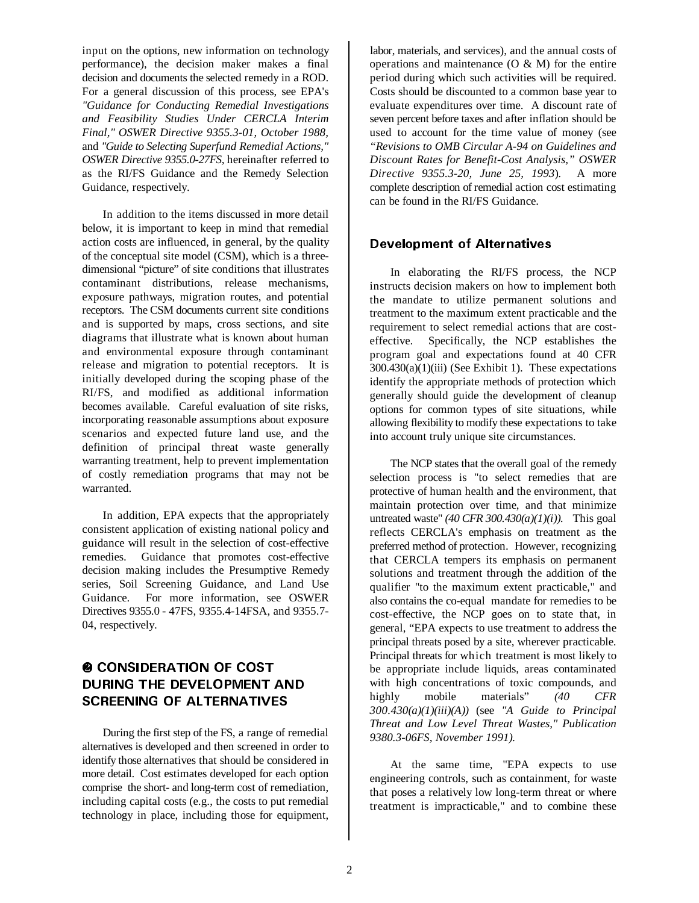input on the options, new information on technology performance), the decision maker makes a final decision and documents the selected remedy in a ROD. For a general discussion of this process, see EPA's *"Guidance for Conducting Remedial Investigations and Feasibility Studies Under CERCLA Interim Final," OSWER Directive 9355.3-01, October 1988,*  and *"Guide to Selecting Superfund Remedial Actions," OSWER Directive 9355.0-27FS,* hereinafter referred to as the RI/FS Guidance and the Remedy Selection Guidance, respectively.

In addition to the items discussed in more detail below, it is important to keep in mind that remedial action costs are influenced, in general, by the quality of the conceptual site model (CSM), which is a threedimensional "picture" of site conditions that illustrates contaminant distributions, release mechanisms, exposure pathways, migration routes, and potential receptors. The CSM documents current site conditions and is supported by maps, cross sections, and site diagrams that illustrate what is known about human and environmental exposure through contaminant release and migration to potential receptors. It is initially developed during the scoping phase of the RI/FS, and modified as additional information becomes available. Careful evaluation of site risks, incorporating reasonable assumptions about exposure scenarios and expected future land use, and the definition of principal threat waste generally warranting treatment, help to prevent implementation of costly remediation programs that may not be warranted.

In addition, EPA expects that the appropriately consistent application of existing national policy and guidance will result in the selection of cost-effective remedies. Guidance that promotes cost-effective decision making includes the Presumptive Remedy series, Soil Screening Guidance, and Land Use Guidance. For more information, see OSWER Directives 9355.0 - 47FS, 9355.4-14FSA, and 9355.7- 04, respectively.

# **@ CONSIDERATION OF COST** DURING THE DEVELOPMENT AND SCREENING OF ALTERNATIVES

During the first step of the FS, a range of remedial alternatives is developed and then screened in order to identify those alternatives that should be considered in more detail. Cost estimates developed for each option comprise the short- and long-term cost of remediation, including capital costs (e.g., the costs to put remedial technology in place, including those for equipment, labor, materials, and services), and the annual costs of operations and maintenance  $(O & M)$  for the entire period during which such activities will be required. Costs should be discounted to a common base year to evaluate expenditures over time. A discount rate of seven percent before taxes and after inflation should be used to account for the time value of money (see *"Revisions to OMB Circular A-94 on Guidelines and Discount Rates for Benefit-Cost Analysis," OSWER Directive 9355.3-20, June 25, 1993*)*.* A more complete description of remedial action cost estimating can be found in the RI/FS Guidance.

#### Development of Alternatives

In elaborating the RI/FS process, the NCP instructs decision makers on how to implement both the mandate to utilize permanent solutions and treatment to the maximum extent practicable and the requirement to select remedial actions that are costeffective. Specifically, the NCP establishes the program goal and expectations found at 40 CFR 300.430(a)(1)(iii) (See Exhibit 1). These expectations identify the appropriate methods of protection which generally should guide the development of cleanup options for common types of site situations, while allowing flexibility to modify these expectations to take into account truly unique site circumstances.

The NCP states that the overall goal of the remedy selection process is "to select remedies that are protective of human health and the environment, that maintain protection over time, and that minimize untreated waste"  $(40 \text{ CFR } 300.430(a)(1)(i))$ . This goal reflects CERCLA's emphasis on treatment as the preferred method of protection. However, recognizing that CERCLA tempers its emphasis on permanent solutions and treatment through the addition of the qualifier "to the maximum extent practicable," and also contains the co-equal mandate for remedies to be cost-effective, the NCP goes on to state that, in general, "EPA expects to use treatment to address the principal threats posed by a site, wherever practicable. Principal threats for which treatment is most likely to be appropriate include liquids, areas contaminated with high concentrations of toxic compounds, and highly mobile materials" *(40 CFR 300.430(a)(1)(iii)(A))* (see *"A Guide to Principal Threat and Low Level Threat Wastes," Publication 9380.3-06FS, November 1991).* 

At the same time, "EPA expects to use engineering controls, such as containment, for waste that poses a relatively low long-term threat or where treatment is impracticable," and to combine these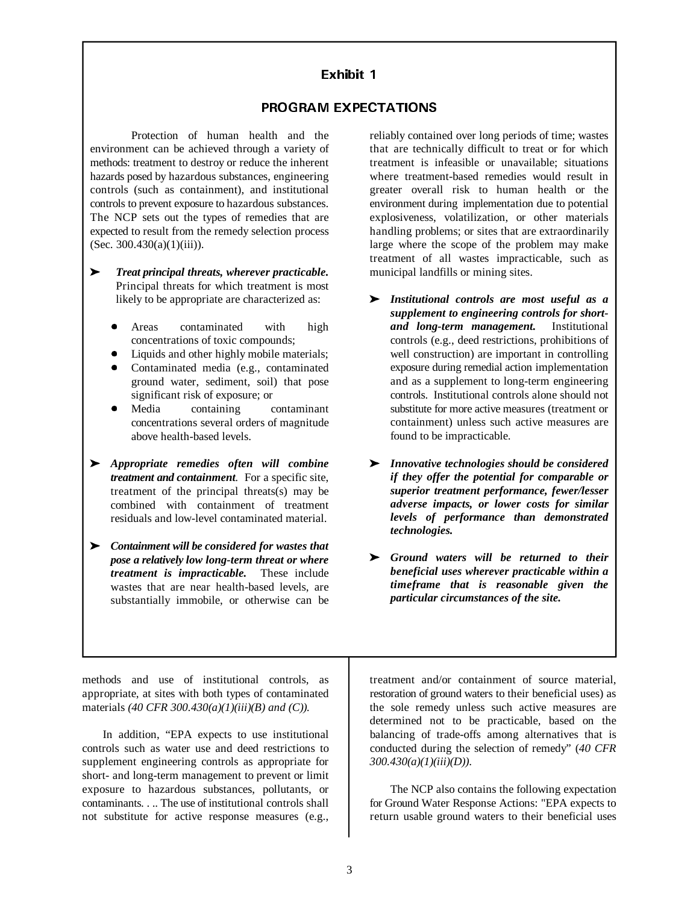## Exhibit 1

#### PROGRAM EXPECTATIONS

Protection of human health and the environment can be achieved through a variety of methods: treatment to destroy or reduce the inherent hazards posed by hazardous substances, engineering controls (such as containment), and institutional controls to prevent exposure to hazardous substances. The NCP sets out the types of remedies that are expected to result from the remedy selection process (Sec. 300.430(a)(1)(iii)).

- *Treat principal threats, wherever practicable.*  Principal threats for which treatment is most likely to be appropriate are characterized as:
	- $\bullet$  Areas contaminated with high concentrations of toxic compounds;
	- $\bullet$ Liquids and other highly mobile materials;
	- $\bullet$  Contaminated media (e.g., contaminated ground water, sediment, soil) that pose significant risk of exposure; or
	- $\bullet$  Media containing contaminant concentrations several orders of magnitude above health-based levels.
- *Appropriate remedies often will combine treatment and containment.* For a specific site, treatment of the principal threats(s) may be combined with containment of treatment residuals and low-level contaminated material.
- *Containment will be considered for wastes that pose a relatively low long-term threat or where treatment is impracticable.* These include wastes that are near health-based levels, are substantially immobile, or otherwise can be

reliably contained over long periods of time; wastes that are technically difficult to treat or for which treatment is infeasible or unavailable; situations where treatment-based remedies would result in greater overall risk to human health or the environment during implementation due to potential explosiveness, volatilization, or other materials handling problems; or sites that are extraordinarily large where the scope of the problem may make treatment of all wastes impracticable, such as municipal landfills or mining sites.

- *Institutional controls are most useful as a supplement to engineering controls for shortand long-term management.* Institutional controls (e.g., deed restrictions, prohibitions of well construction) are important in controlling exposure during remedial action implementation and as a supplement to long-term engineering controls. Institutional controls alone should not substitute for more active measures (treatment or containment) unless such active measures are found to be impracticable.
- *Innovative technologies should be considered if they offer the potential for comparable or superior treatment performance, fewer/lesser adverse impacts, or lower costs for similar levels of performance than demonstrated technologies.*
- *Ground waters will be returned to their beneficial uses wherever practicable within a timeframe that is reasonable given the particular circumstances of the site.*

methods and use of institutional controls, as appropriate, at sites with both types of contaminated materials *(40 CFR 300.430(a)(1)(iii)(B) and (C)).* 

In addition, "EPA expects to use institutional controls such as water use and deed restrictions to supplement engineering controls as appropriate for short- and long-term management to prevent or limit exposure to hazardous substances, pollutants, or contaminants. . .. The use of institutional controls shall not substitute for active response measures (e.g.,

treatment and/or containment of source material, restoration of ground waters to their beneficial uses) as the sole remedy unless such active measures are determined not to be practicable, based on the balancing of trade-offs among alternatives that is conducted during the selection of remedy" (*40 CFR 300.430(a)(1)(iii)(D))*.

The NCP also contains the following expectation for Ground Water Response Actions: "EPA expects to return usable ground waters to their beneficial uses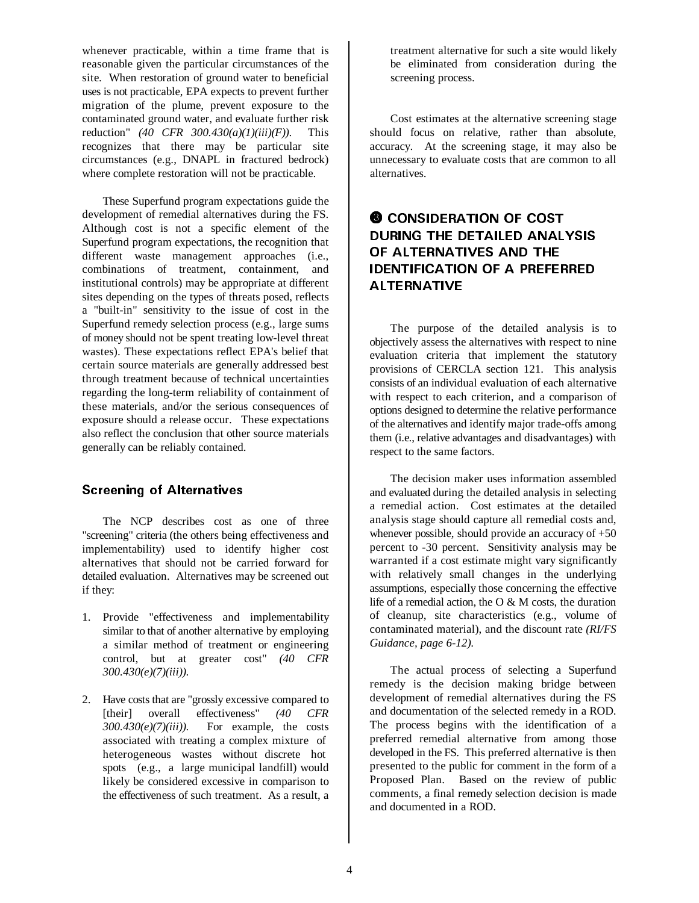whenever practicable, within a time frame that is reasonable given the particular circumstances of the site. When restoration of ground water to beneficial uses is not practicable, EPA expects to prevent further migration of the plume, prevent exposure to the contaminated ground water, and evaluate further risk reduction" *(40 CFR 300.430(a)(1)(iii)(F))*. This recognizes that there may be particular site circumstances (e.g., DNAPL in fractured bedrock) where complete restoration will not be practicable.

These Superfund program expectations guide the development of remedial alternatives during the FS. Although cost is not a specific element of the Superfund program expectations, the recognition that different waste management approaches (i.e., combinations of treatment, containment, and institutional controls) may be appropriate at different sites depending on the types of threats posed, reflects a "built-in" sensitivity to the issue of cost in the Superfund remedy selection process (e.g., large sums of money should not be spent treating low-level threat wastes). These expectations reflect EPA's belief that certain source materials are generally addressed best through treatment because of technical uncertainties regarding the long-term reliability of containment of these materials, and/or the serious consequences of exposure should a release occur. These expectations also reflect the conclusion that other source materials generally can be reliably contained.

# **Screening of Alternatives**

The NCP describes cost as one of three "screening" criteria (the others being effectiveness and implementability) used to identify higher cost alternatives that should not be carried forward for detailed evaluation. Alternatives may be screened out if they:

- 1. Provide "effectiveness and implementability similar to that of another alternative by employing a similar method of treatment or engineering control, but at greater cost" *(40 CFR 300.430(e)(7)(iii))*.
- 2. Have costs that are "grossly excessive compared to [their] overall effectiveness" *(40 CFR 300.430(e)(7)(iii))*. For example, the costs associated with treating a complex mixture of heterogeneous wastes without discrete hot spots (e.g., a large municipal landfill) would likely be considered excessive in comparison to the effectiveness of such treatment. As a result, a

treatment alternative for such a site would likely be eliminated from consideration during the screening process.

Cost estimates at the alternative screening stage should focus on relative, rather than absolute, accuracy. At the screening stage, it may also be unnecessary to evaluate costs that are common to all alternatives.

# **@ CONSIDERATION OF COST** DURING THE DETAILED ANALYSIS OF ALTERNATIVES AND THE IDENTIFICATION OF A PREFERRED **ALTERNATIVE**

The purpose of the detailed analysis is to objectively assess the alternatives with respect to nine evaluation criteria that implement the statutory provisions of CERCLA section 121. This analysis consists of an individual evaluation of each alternative with respect to each criterion, and a comparison of options designed to determine the relative performance of the alternatives and identify major trade-offs among them (i.e., relative advantages and disadvantages) with respect to the same factors.

The decision maker uses information assembled and evaluated during the detailed analysis in selecting a remedial action. Cost estimates at the detailed analysis stage should capture all remedial costs and, whenever possible, should provide an accuracy of  $+50$ percent to -30 percent. Sensitivity analysis may be warranted if a cost estimate might vary significantly with relatively small changes in the underlying assumptions, especially those concerning the effective life of a remedial action, the O & M costs, the duration of cleanup, site characteristics (e.g., volume of contaminated material), and the discount rate *(RI/FS Guidance, page 6-12)*.

The actual process of selecting a Superfund remedy is the decision making bridge between development of remedial alternatives during the FS and documentation of the selected remedy in a ROD. The process begins with the identification of a preferred remedial alternative from among those developed in the FS. This preferred alternative is then presented to the public for comment in the form of a Proposed Plan. Based on the review of public comments, a final remedy selection decision is made and documented in a ROD.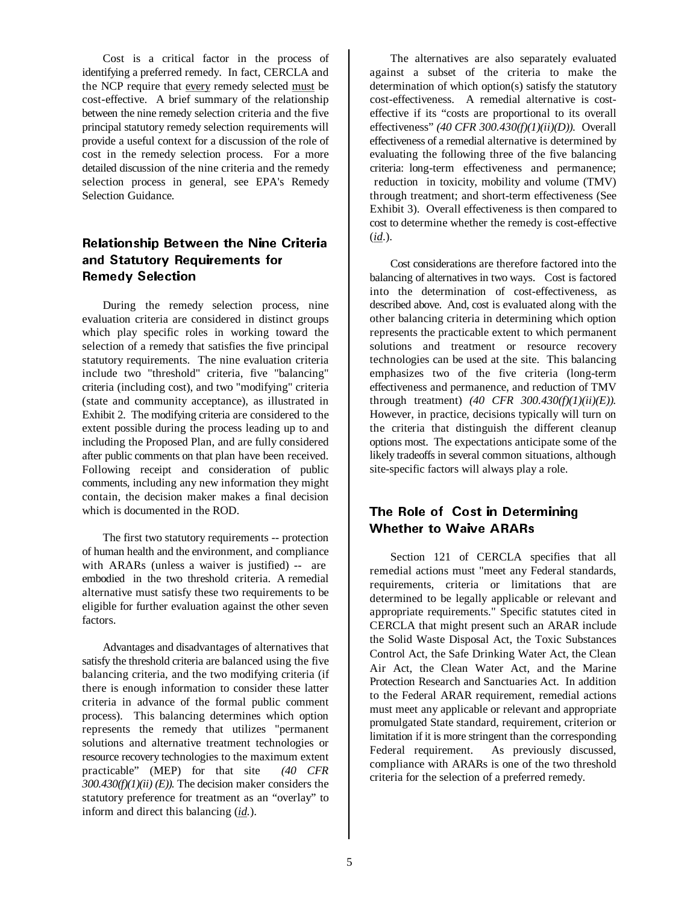Cost is a critical factor in the process of identifying a preferred remedy. In fact, CERCLA and the NCP require that every remedy selected must be cost-effective. A brief summary of the relationship between the nine remedy selection criteria and the five principal statutory remedy selection requirements will provide a useful context for a discussion of the role of cost in the remedy selection process. For a more detailed discussion of the nine criteria and the remedy selection process in general, see EPA's Remedy Selection Guidance*.* 

# Relationship Between the Nine Criteria and Statutory Requirements for **Remedy Selection**

During the remedy selection process, nine evaluation criteria are considered in distinct groups which play specific roles in working toward the selection of a remedy that satisfies the five principal statutory requirements. The nine evaluation criteria include two "threshold" criteria, five "balancing" criteria (including cost), and two "modifying" criteria (state and community acceptance), as illustrated in Exhibit 2. The modifying criteria are considered to the extent possible during the process leading up to and including the Proposed Plan, and are fully considered after public comments on that plan have been received. Following receipt and consideration of public comments, including any new information they might contain, the decision maker makes a final decision which is documented in the ROD.

The first two statutory requirements -- protection of human health and the environment, and compliance with ARARs (unless a waiver is justified) -- are embodied in the two threshold criteria. A remedial alternative must satisfy these two requirements to be eligible for further evaluation against the other seven factors.

Advantages and disadvantages of alternatives that satisfy the threshold criteria are balanced using the five balancing criteria, and the two modifying criteria (if there is enough information to consider these latter criteria in advance of the formal public comment process). This balancing determines which option represents the remedy that utilizes "permanent solutions and alternative treatment technologies or resource recovery technologies to the maximum extent practicable" (MEP) for that site *(40 CFR 300.430(f)(1)(ii) (E)).* The decision maker considers the statutory preference for treatment as an "overlay" to inform and direct this balancing (*id.*).

The alternatives are also separately evaluated against a subset of the criteria to make the determination of which option(s) satisfy the statutory cost-effectiveness. A remedial alternative is costeffective if its "costs are proportional to its overall effectiveness" *(40 CFR 300.430(f)(1)(ii)(D)).* Overall effectiveness of a remedial alternative is determined by evaluating the following three of the five balancing criteria: long-term effectiveness and permanence; reduction in toxicity, mobility and volume (TMV) through treatment; and short-term effectiveness (See Exhibit 3). Overall effectiveness is then compared to cost to determine whether the remedy is cost-effective (*id*.).

Cost considerations are therefore factored into the balancing of alternatives in two ways. Cost is factored into the determination of cost-effectiveness, as described above. And, cost is evaluated along with the other balancing criteria in determining which option represents the practicable extent to which permanent solutions and treatment or resource recovery technologies can be used at the site. This balancing emphasizes two of the five criteria (long-term effectiveness and permanence, and reduction of TMV through treatment) *(40 CFR 300.430(f)(1)(ii)(E)).*  However, in practice, decisions typically will turn on the criteria that distinguish the different cleanup options most. The expectations anticipate some of the likely tradeoffs in several common situations, although site-specific factors will always play a role.

# The Role of Cost in Determining **Whether to Waive ARARs**

Section 121 of CERCLA specifies that all remedial actions must "meet any Federal standards, requirements, criteria or limitations that are determined to be legally applicable or relevant and appropriate requirements." Specific statutes cited in CERCLA that might present such an ARAR include the Solid Waste Disposal Act, the Toxic Substances Control Act, the Safe Drinking Water Act, the Clean Air Act, the Clean Water Act, and the Marine Protection Research and Sanctuaries Act. In addition to the Federal ARAR requirement, remedial actions must meet any applicable or relevant and appropriate promulgated State standard, requirement, criterion or limitation if it is more stringent than the corresponding Federal requirement. As previously discussed, compliance with ARARs is one of the two threshold criteria for the selection of a preferred remedy.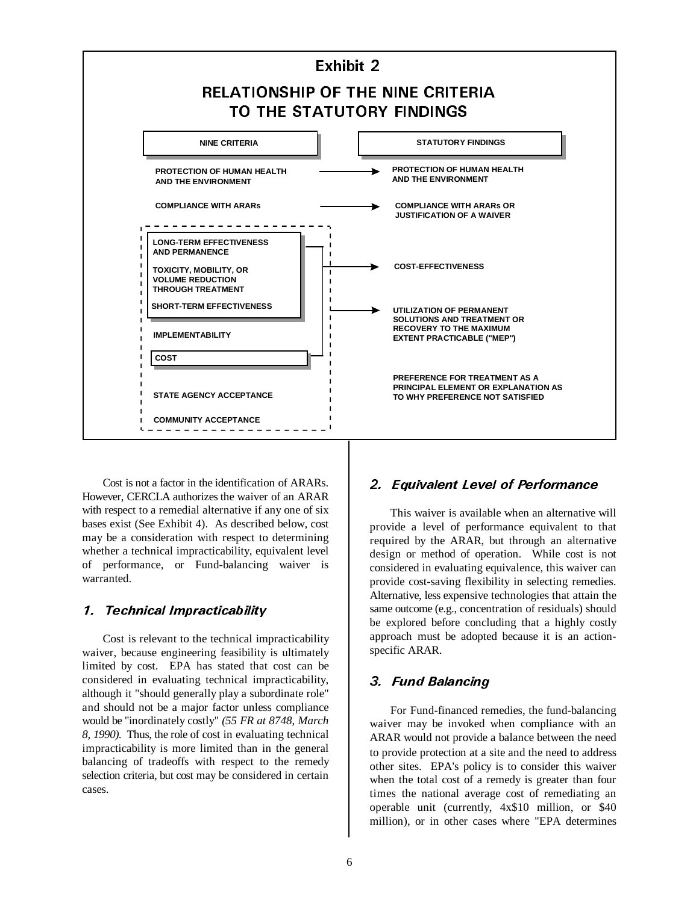

of performance, or Fund-balancing waiver is Cost is not a factor in the identification of ARARs. However, CERCLA authorizes the waiver of an ARAR with respect to a remedial alternative if any one of six bases exist (See Exhibit 4). As described below, cost may be a consideration with respect to determining whether a technical impracticability, equivalent level warranted.

#### 1. Technical Impracticability

. *8, 1990)* Thus, the role of cost in evaluating technical Cost is relevant to the technical impracticability waiver, because engineering feasibility is ultimately limited by cost. EPA has stated that cost can be considered in evaluating technical impracticability, although it "should generally play a subordinate role" and should not be a major factor unless compliance would be "inordinately costly" *(55 FR at 8748, March*  impracticability is more limited than in the general balancing of tradeoffs with respect to the remedy selection criteria, but cost may be considered in certain cases.

# 2. Equivalent Level of Performance

This waiver is available when an alternative will provide a level of performance equivalent to that required by the ARAR, but through an alternative design or method of operation. While cost is not considered in evaluating equivalence, this waiver can provide cost-saving flexibility in selecting remedies. Alternative, less expensive technologies that attain the same outcome (e.g., concentration of residuals) should be explored before concluding that a highly costly approach must be adopted because it is an actionspecific ARAR.

# 3. Fund Balancing

operable unit (currently, 4x\$10 million, or \$40 For Fund-financed remedies, the fund-balancing waiver may be invoked when compliance with an ARAR would not provide a balance between the need to provide protection at a site and the need to address other sites. EPA's policy is to consider this waiver when the total cost of a remedy is greater than four times the national average cost of remediating an million), or in other cases where "EPA determines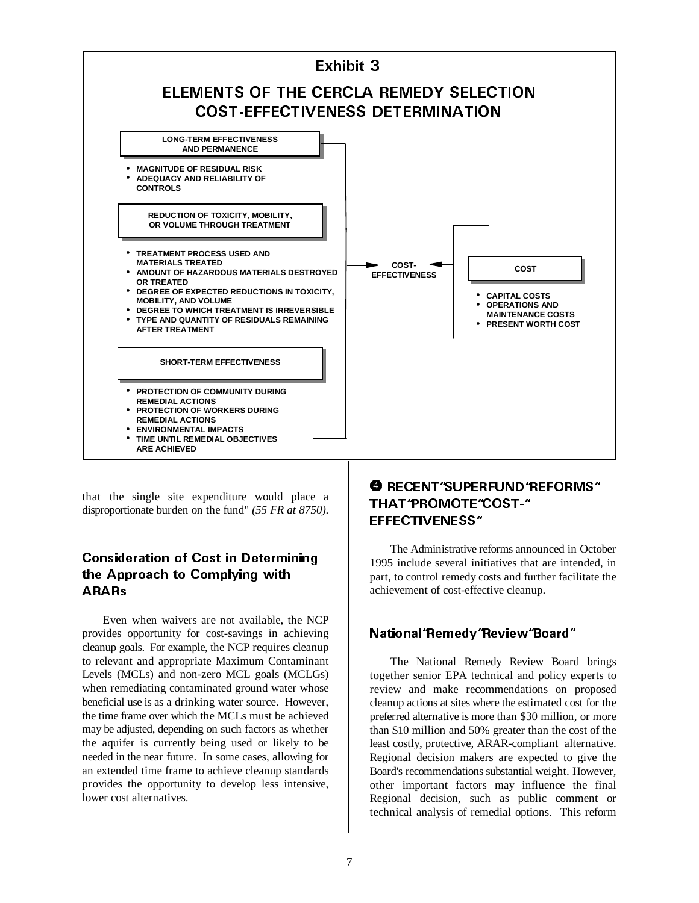

that the single site expenditure would place a disproportionate burden on the fund" *(55 FR at 8750)*.

# Consideration of Cost in Determining the Approach to Complying with **ARARs**

Even when waivers are not available, the NCP provides opportunity for cost-savings in achieving cleanup goals. For example, the NCP requires cleanup to relevant and appropriate Maximum Contaminant Levels (MCLs) and non-zero MCL goals (MCLGs) when remediating contaminated ground water whose beneficial use is as a drinking water source. However, the time frame over which the MCLs must be achieved may be adjusted, depending on such factors as whether the aquifer is currently being used or likely to be needed in the near future. In some cases, allowing for an extended time frame to achieve cleanup standards provides the opportunity to develop less intensive, lower cost alternatives.

# **O** RECENT "SUPERFUND "REFORMS" THAT"PROMOTE"COST-" EFFECTIVENESS"

The Administrative reforms announced in October 1995 include several initiatives that are intended, in part, to control remedy costs and further facilitate the achievement of cost-effective cleanup.

# National "Remedy "Review "Board"

The National Remedy Review Board brings together senior EPA technical and policy experts to review and make recommendations on proposed cleanup actions at sites where the estimated cost for the preferred alternative is more than \$30 million, or more than \$10 million and 50% greater than the cost of the least costly, protective, ARAR-compliant alternative. Regional decision makers are expected to give the Board's recommendations substantial weight. However, other important factors may influence the final Regional decision, such as public comment or technical analysis of remedial options. This reform